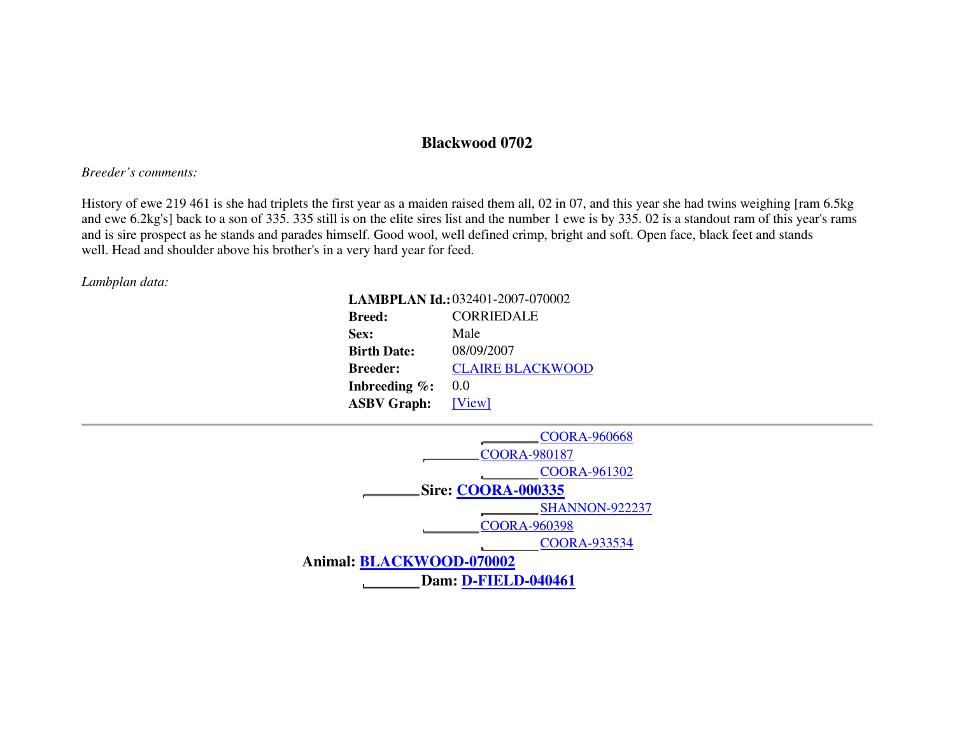## **Blackwood 0702**

## *Breeder's comments:*

History of ewe 219 461 is she had triplets the first year as a maiden raised them all, 02 in 07, and this year she had twins weighing [ram 6.5kg and ewe 6.2kg's] back to a son of 335. 335 still is on the elite sires list and the number 1 ewe is by 335. 02 is a standout ram of this year's rams and is sire prospect as he stands and parades himself. Good wool, well defined crimp, bright and soft. Open face, black feet and stands well. Head and shoulder above his brother's in a very hard year for feed.

## *Lambplan data:*

| LAMBPLAN Id.: 032401-2007-070002 |                         |  |  |  |  |  |  |
|----------------------------------|-------------------------|--|--|--|--|--|--|
| <b>Breed:</b>                    | <b>CORRIEDALE</b>       |  |  |  |  |  |  |
| Sex:                             | Male                    |  |  |  |  |  |  |
| <b>Birth Date:</b>               | 08/09/2007              |  |  |  |  |  |  |
| <b>Breeder:</b>                  | <b>CLAIRE BLACKWOOD</b> |  |  |  |  |  |  |
| Inbreeding $\%$ :                | 0.0                     |  |  |  |  |  |  |
| <b>ASBV Graph:</b>               | [View]                  |  |  |  |  |  |  |

| <b>COORA-960668</b>        |  |  |  |  |  |  |  |  |  |
|----------------------------|--|--|--|--|--|--|--|--|--|
| <b>COORA-980187</b>        |  |  |  |  |  |  |  |  |  |
| COORA-961302               |  |  |  |  |  |  |  |  |  |
| <b>Sire: COORA-000335</b>  |  |  |  |  |  |  |  |  |  |
| <b>SHANNON-922237</b>      |  |  |  |  |  |  |  |  |  |
| <b>COORA-960398</b>        |  |  |  |  |  |  |  |  |  |
| <b>COORA-933534</b>        |  |  |  |  |  |  |  |  |  |
| Animal: BLACKWOOD-070002   |  |  |  |  |  |  |  |  |  |
| <b>Dam: D-FIELD-040461</b> |  |  |  |  |  |  |  |  |  |